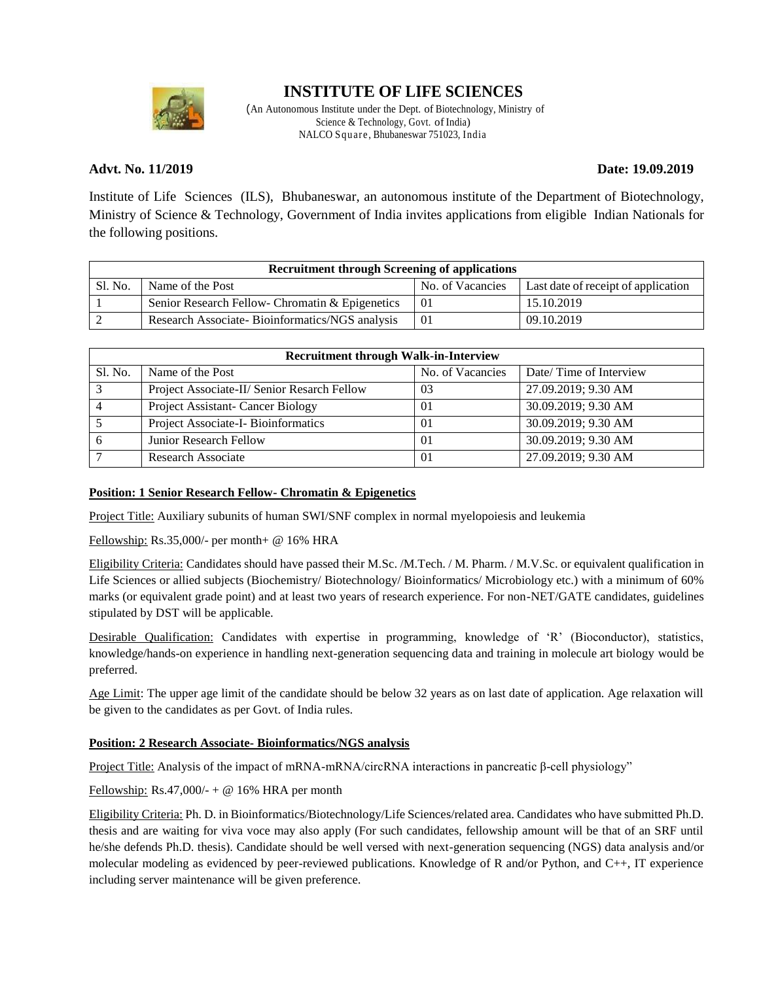

# **INSTITUTE OF LIFE SCIENCES**

(An Autonomous Institute under the Dept. of Biotechnology, Ministry of Science & Technology, Govt. of India) NALCO Square , Bhubaneswar 751023, India

### **Advt. No. 11/2019 Date: 19.09.2019**

Institute of Life Sciences (ILS), Bhubaneswar, an autonomous institute of the Department of Biotechnology, Ministry of Science & Technology, Government of India invites applications from eligible Indian Nationals for the following positions.

| <b>Recruitment through Screening of applications</b> |                                                 |                  |                                     |  |
|------------------------------------------------------|-------------------------------------------------|------------------|-------------------------------------|--|
| Sl. No.                                              | Name of the Post                                | No. of Vacancies | Last date of receipt of application |  |
|                                                      | Senior Research Fellow- Chromatin & Epigenetics | $\Omega$         | 15.10.2019                          |  |
|                                                      | Research Associate-Bioinformatics/NGS analysis  | $\Omega$         | 09.10.2019                          |  |

| <b>Recruitment through Walk-in-Interview</b> |                                             |                  |                        |  |
|----------------------------------------------|---------------------------------------------|------------------|------------------------|--|
| Sl. No.                                      | Name of the Post                            | No. of Vacancies | Date/Time of Interview |  |
| $\mathbf{\overline{3}}$                      | Project Associate-II/ Senior Resarch Fellow | 03               | 27.09.2019; 9.30 AM    |  |
|                                              | Project Assistant- Cancer Biology           | 01               | 30.09.2019; 9.30 AM    |  |
|                                              | Project Associate-I-Bioinformatics          | $\Omega$         | 30.09.2019; 9.30 AM    |  |
| h                                            | Junior Research Fellow                      | $\Omega$         | 30.09.2019; 9.30 AM    |  |
|                                              | Research Associate                          | $\Omega$         | 27.09.2019; 9.30 AM    |  |

#### **Position: 1 Senior Research Fellow- Chromatin & Epigenetics**

Project Title: Auxiliary subunits of human SWI/SNF complex in normal myelopoiesis and leukemia

Fellowship: Rs.35,000/- per month+ @ 16% HRA

Eligibility Criteria: Candidates should have passed their M.Sc. /M.Tech. / M. Pharm. / M.V.Sc. or equivalent qualification in Life Sciences or allied subjects (Biochemistry/ Biotechnology/ Bioinformatics/ Microbiology etc.) with a minimum of 60% marks (or equivalent grade point) and at least two years of research experience. For non-NET/GATE candidates, guidelines stipulated by DST will be applicable.

Desirable Qualification: Candidates with expertise in programming, knowledge of 'R' (Bioconductor), statistics, knowledge/hands-on experience in handling next-generation sequencing data and training in molecule art biology would be preferred.

Age Limit: The upper age limit of the candidate should be below 32 years as on last date of application. Age relaxation will be given to the candidates as per Govt. of India rules.

#### **Position: 2 Research Associate- Bioinformatics/NGS analysis**

Project Title: Analysis of the impact of mRNA-mRNA/circRNA interactions in pancreatic β-cell physiology"

Fellowship: Rs.47,000/- + @ 16% HRA per month

Eligibility Criteria: Ph. D. in Bioinformatics/Biotechnology/Life Sciences/related area. Candidates who have submitted Ph.D. thesis and are waiting for viva voce may also apply (For such candidates, fellowship amount will be that of an SRF until he/she defends Ph.D. thesis). Candidate should be well versed with next-generation sequencing (NGS) data analysis and/or molecular modeling as evidenced by peer-reviewed publications. Knowledge of R and/or Python, and C++, IT experience including server maintenance will be given preference.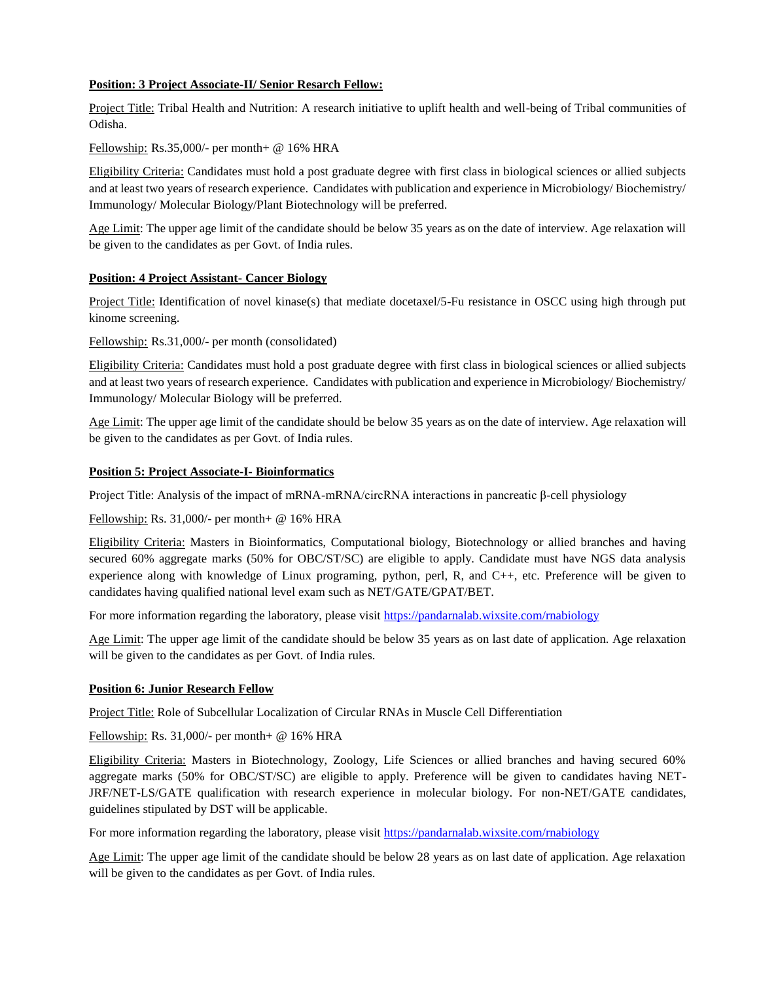#### **Position: 3 Project Associate-II/ Senior Resarch Fellow:**

Project Title: Tribal Health and Nutrition: A research initiative to uplift health and well-being of Tribal communities of Odisha.

Fellowship: Rs.35,000/- per month+ @ 16% HRA

Eligibility Criteria: Candidates must hold a post graduate degree with first class in biological sciences or allied subjects and at least two years of research experience. Candidates with publication and experience in Microbiology/ Biochemistry/ Immunology/ Molecular Biology/Plant Biotechnology will be preferred.

Age Limit: The upper age limit of the candidate should be below 35 years as on the date of interview. Age relaxation will be given to the candidates as per Govt. of India rules.

#### **Position: 4 Project Assistant- Cancer Biology**

Project Title: Identification of novel kinase(s) that mediate docetaxel/5-Fu resistance in OSCC using high through put kinome screening.

Fellowship: Rs.31,000/- per month (consolidated)

Eligibility Criteria: Candidates must hold a post graduate degree with first class in biological sciences or allied subjects and at least two years of research experience. Candidates with publication and experience in Microbiology/ Biochemistry/ Immunology/ Molecular Biology will be preferred.

Age Limit: The upper age limit of the candidate should be below 35 years as on the date of interview. Age relaxation will be given to the candidates as per Govt. of India rules.

#### **Position 5: Project Associate-I- Bioinformatics**

Project Title: Analysis of the impact of mRNA-mRNA/circRNA interactions in pancreatic β-cell physiology

Fellowship: Rs. 31,000/- per month+ @ 16% HRA

Eligibility Criteria: Masters in Bioinformatics, Computational biology, Biotechnology or allied branches and having secured 60% aggregate marks (50% for OBC/ST/SC) are eligible to apply. Candidate must have NGS data analysis experience along with knowledge of Linux programing, python, perl, R, and C++, etc. Preference will be given to candidates having qualified national level exam such as NET/GATE/GPAT/BET.

For more information regarding the laboratory, please visit<https://pandarnalab.wixsite.com/rnabiology>

Age Limit: The upper age limit of the candidate should be below 35 years as on last date of application. Age relaxation will be given to the candidates as per Govt. of India rules.

#### **Position 6: Junior Research Fellow**

Project Title: Role of Subcellular Localization of Circular RNAs in Muscle Cell Differentiation

Fellowship: Rs. 31,000/- per month+ @ 16% HRA

Eligibility Criteria: Masters in Biotechnology, Zoology, Life Sciences or allied branches and having secured 60% aggregate marks (50% for OBC/ST/SC) are eligible to apply. Preference will be given to candidates having NET-JRF/NET-LS/GATE qualification with research experience in molecular biology. For non-NET/GATE candidates, guidelines stipulated by DST will be applicable.

For more information regarding the laboratory, please visit<https://pandarnalab.wixsite.com/rnabiology>

Age Limit: The upper age limit of the candidate should be below 28 years as on last date of application. Age relaxation will be given to the candidates as per Govt. of India rules.